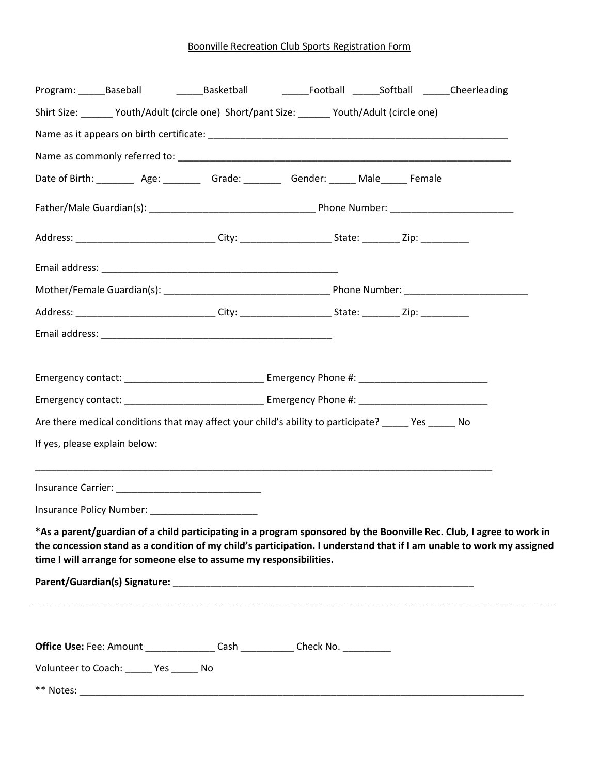## Boonville Recreation Club Sports Registration Form

|                               |                                                                                                                                                                                                                                               | Program: ______Baseball     ______Basketball     ______Football ______Softball ______Cheerleading |  |  |  |  |  |
|-------------------------------|-----------------------------------------------------------------------------------------------------------------------------------------------------------------------------------------------------------------------------------------------|---------------------------------------------------------------------------------------------------|--|--|--|--|--|
|                               | Shirt Size: _______ Youth/Adult (circle one) Short/pant Size: ______ Youth/Adult (circle one)                                                                                                                                                 |                                                                                                   |  |  |  |  |  |
|                               |                                                                                                                                                                                                                                               |                                                                                                   |  |  |  |  |  |
|                               |                                                                                                                                                                                                                                               |                                                                                                   |  |  |  |  |  |
|                               | Date of Birth: __________ Age: __________ Grade: _________ Gender: ______ Male______ Female                                                                                                                                                   |                                                                                                   |  |  |  |  |  |
|                               |                                                                                                                                                                                                                                               |                                                                                                   |  |  |  |  |  |
|                               |                                                                                                                                                                                                                                               |                                                                                                   |  |  |  |  |  |
|                               |                                                                                                                                                                                                                                               |                                                                                                   |  |  |  |  |  |
|                               |                                                                                                                                                                                                                                               |                                                                                                   |  |  |  |  |  |
|                               | Address: _______________________________City: ___________________________________Zip: ______________                                                                                                                                          |                                                                                                   |  |  |  |  |  |
|                               |                                                                                                                                                                                                                                               |                                                                                                   |  |  |  |  |  |
|                               |                                                                                                                                                                                                                                               |                                                                                                   |  |  |  |  |  |
|                               |                                                                                                                                                                                                                                               |                                                                                                   |  |  |  |  |  |
|                               |                                                                                                                                                                                                                                               |                                                                                                   |  |  |  |  |  |
|                               | Are there medical conditions that may affect your child's ability to participate? ______ Yes ______ No                                                                                                                                        |                                                                                                   |  |  |  |  |  |
| If yes, please explain below: |                                                                                                                                                                                                                                               |                                                                                                   |  |  |  |  |  |
|                               |                                                                                                                                                                                                                                               |                                                                                                   |  |  |  |  |  |
|                               |                                                                                                                                                                                                                                               |                                                                                                   |  |  |  |  |  |
|                               |                                                                                                                                                                                                                                               |                                                                                                   |  |  |  |  |  |
|                               |                                                                                                                                                                                                                                               |                                                                                                   |  |  |  |  |  |
|                               | *As a parent/guardian of a child participating in a program sponsored by the Boonville Rec. Club, I agree to work in<br>the concession stand as a condition of my child's participation. I understand that if I am unable to work my assigned |                                                                                                   |  |  |  |  |  |
|                               | time I will arrange for someone else to assume my responsibilities.                                                                                                                                                                           |                                                                                                   |  |  |  |  |  |

 $\overline{a}$